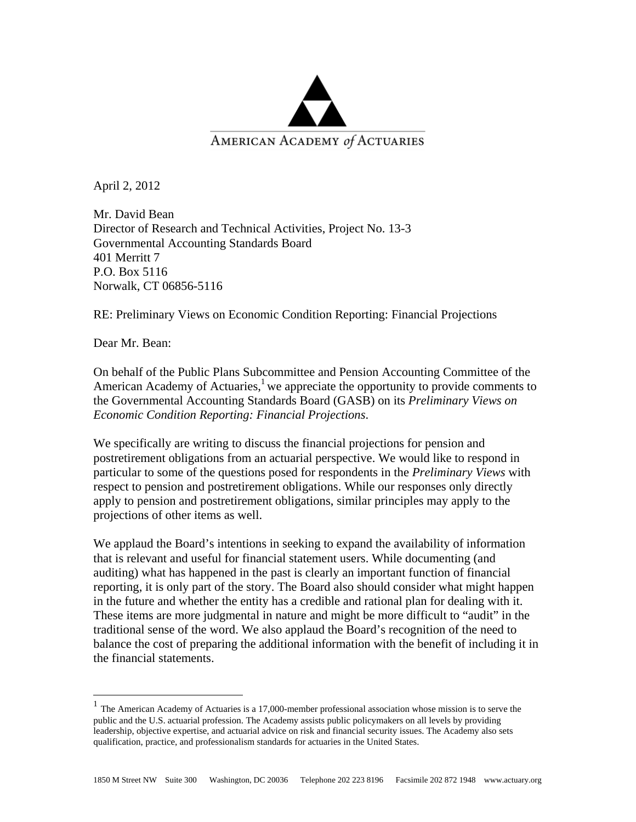

April 2, 2012

Mr. David Bean Director of Research and Technical Activities, Project No. 13-3 Governmental Accounting Standards Board 401 Merritt 7 P.O. Box 5116 Norwalk, CT 06856-5116

RE: Preliminary Views on Economic Condition Reporting: Financial Projections

Dear Mr. Bean:

 $\overline{a}$ 

On behalf of the Public Plans Subcommittee and Pension Accounting Committee of the American Academy of Actuaries,<sup>1</sup> we appreciate the opportunity to provide comments to the Governmental Accounting Standards Board (GASB) on its *Preliminary Views on Economic Condition Reporting: Financial Projections*.

We specifically are writing to discuss the financial projections for pension and postretirement obligations from an actuarial perspective. We would like to respond in particular to some of the questions posed for respondents in the *Preliminary Views* with respect to pension and postretirement obligations. While our responses only directly apply to pension and postretirement obligations, similar principles may apply to the projections of other items as well.

We applaud the Board's intentions in seeking to expand the availability of information that is relevant and useful for financial statement users. While documenting (and auditing) what has happened in the past is clearly an important function of financial reporting, it is only part of the story. The Board also should consider what might happen in the future and whether the entity has a credible and rational plan for dealing with it. These items are more judgmental in nature and might be more difficult to "audit" in the traditional sense of the word. We also applaud the Board's recognition of the need to balance the cost of preparing the additional information with the benefit of including it in the financial statements.

 $<sup>1</sup>$  The American Academy of Actuaries is a 17,000-member professional association whose mission is to serve the</sup> public and the U.S. actuarial profession. The Academy assists public policymakers on all levels by providing leadership, objective expertise, and actuarial advice on risk and financial security issues. The Academy also sets qualification, practice, and professionalism standards for actuaries in the United States.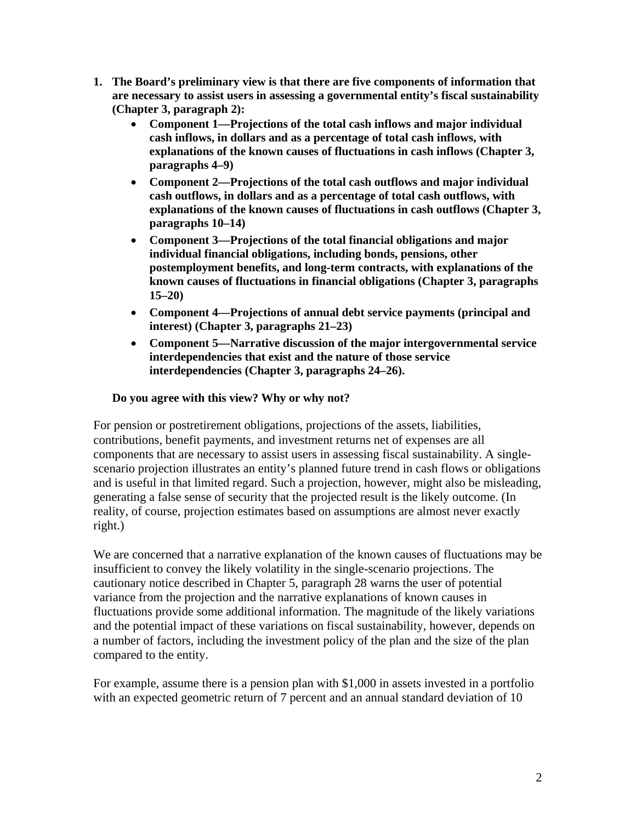- **1. The Board's preliminary view is that there are five components of information that are necessary to assist users in assessing a governmental entity's fiscal sustainability (Chapter 3, paragraph 2):** 
	- **Component 1—Projections of the total cash inflows and major individual cash inflows, in dollars and as a percentage of total cash inflows, with explanations of the known causes of fluctuations in cash inflows (Chapter 3, paragraphs 4–9)**
	- **Component 2—Projections of the total cash outflows and major individual cash outflows, in dollars and as a percentage of total cash outflows, with explanations of the known causes of fluctuations in cash outflows (Chapter 3, paragraphs 10–14)**
	- **Component 3—Projections of the total financial obligations and major individual financial obligations, including bonds, pensions, other postemployment benefits, and long-term contracts, with explanations of the known causes of fluctuations in financial obligations (Chapter 3, paragraphs 15–20)**
	- **Component 4—Projections of annual debt service payments (principal and interest) (Chapter 3, paragraphs 21–23)**
	- **Component 5—Narrative discussion of the major intergovernmental service interdependencies that exist and the nature of those service interdependencies (Chapter 3, paragraphs 24–26).**

## **Do you agree with this view? Why or why not?**

For pension or postretirement obligations, projections of the assets, liabilities, contributions, benefit payments, and investment returns net of expenses are all components that are necessary to assist users in assessing fiscal sustainability. A singlescenario projection illustrates an entity's planned future trend in cash flows or obligations and is useful in that limited regard. Such a projection, however, might also be misleading, generating a false sense of security that the projected result is the likely outcome. (In reality, of course, projection estimates based on assumptions are almost never exactly right.)

We are concerned that a narrative explanation of the known causes of fluctuations may be insufficient to convey the likely volatility in the single-scenario projections. The cautionary notice described in Chapter 5, paragraph 28 warns the user of potential variance from the projection and the narrative explanations of known causes in fluctuations provide some additional information. The magnitude of the likely variations and the potential impact of these variations on fiscal sustainability, however, depends on a number of factors, including the investment policy of the plan and the size of the plan compared to the entity.

For example, assume there is a pension plan with \$1,000 in assets invested in a portfolio with an expected geometric return of 7 percent and an annual standard deviation of 10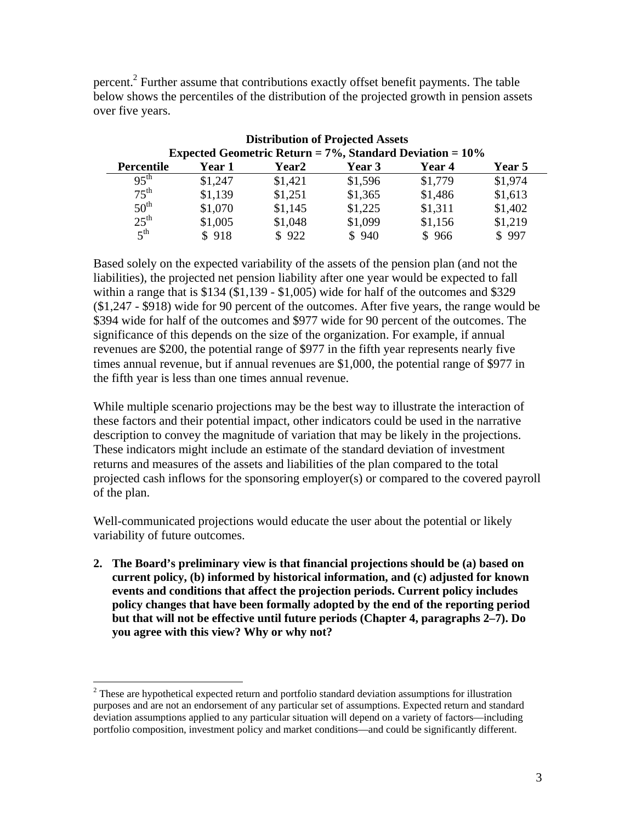percent.<sup>2</sup> Further assume that contributions exactly offset benefit payments. The table below shows the percentiles of the distribution of the projected growth in pension assets over five years.

| <b>Distribution of Projected Assets</b>                         |               |         |               |         |               |
|-----------------------------------------------------------------|---------------|---------|---------------|---------|---------------|
| Expected Geometric Return = $7\%$ , Standard Deviation = $10\%$ |               |         |               |         |               |
| <b>Percentile</b>                                               | <b>Year 1</b> | Year2   | <b>Year 3</b> | Year 4  | <b>Year 5</b> |
| $95^{th}$                                                       | \$1,247       | \$1,421 | \$1,596       | \$1,779 | \$1,974       |
| $75^{\text{th}}$                                                | \$1,139       | \$1,251 | \$1,365       | \$1,486 | \$1,613       |
| 50 <sup>th</sup>                                                | \$1,070       | \$1,145 | \$1,225       | \$1,311 | \$1,402       |
| $25^{\text{th}}$                                                | \$1,005       | \$1,048 | \$1,099       | \$1,156 | \$1,219       |
| $5^{\text{th}}$                                                 | \$918         | \$922   | \$940         | \$966   | \$997         |

Based solely on the expected variability of the assets of the pension plan (and not the liabilities), the projected net pension liability after one year would be expected to fall within a range that is \$134 (\$1,139 - \$1,005) wide for half of the outcomes and \$329 (\$1,247 - \$918) wide for 90 percent of the outcomes. After five years, the range would be \$394 wide for half of the outcomes and \$977 wide for 90 percent of the outcomes. The significance of this depends on the size of the organization. For example, if annual revenues are \$200, the potential range of \$977 in the fifth year represents nearly five times annual revenue, but if annual revenues are \$1,000, the potential range of \$977 in the fifth year is less than one times annual revenue.

While multiple scenario projections may be the best way to illustrate the interaction of these factors and their potential impact, other indicators could be used in the narrative description to convey the magnitude of variation that may be likely in the projections. These indicators might include an estimate of the standard deviation of investment returns and measures of the assets and liabilities of the plan compared to the total projected cash inflows for the sponsoring employer(s) or compared to the covered payroll of the plan.

Well-communicated projections would educate the user about the potential or likely variability of future outcomes.

**2. The Board's preliminary view is that financial projections should be (a) based on current policy, (b) informed by historical information, and (c) adjusted for known events and conditions that affect the projection periods. Current policy includes policy changes that have been formally adopted by the end of the reporting period but that will not be effective until future periods (Chapter 4, paragraphs 2–7). Do you agree with this view? Why or why not?** 

 $\overline{a}$ 

 $2^2$  These are hypothetical expected return and portfolio standard deviation assumptions for illustration purposes and are not an endorsement of any particular set of assumptions. Expected return and standard deviation assumptions applied to any particular situation will depend on a variety of factors—including portfolio composition, investment policy and market conditions—and could be significantly different.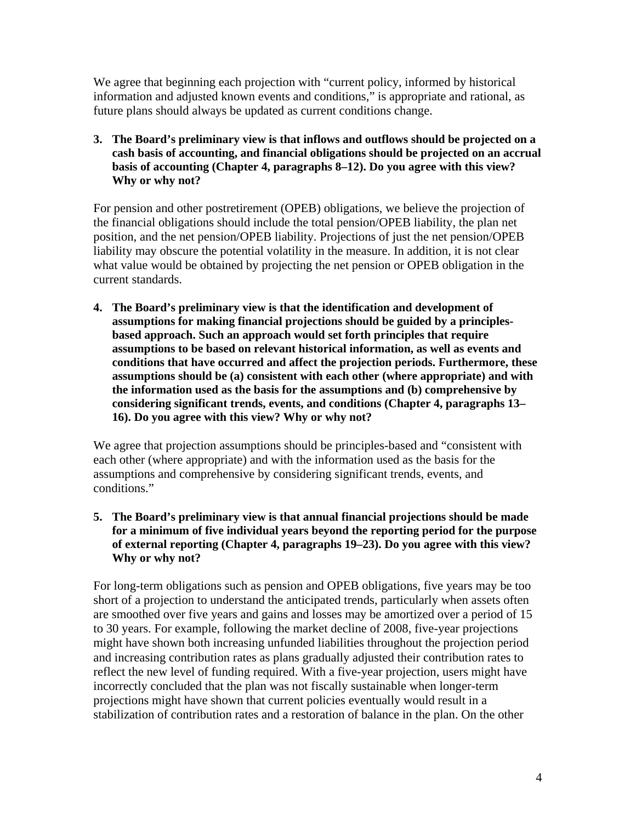We agree that beginning each projection with "current policy, informed by historical information and adjusted known events and conditions," is appropriate and rational, as future plans should always be updated as current conditions change.

**3. The Board's preliminary view is that inflows and outflows should be projected on a cash basis of accounting, and financial obligations should be projected on an accrual basis of accounting (Chapter 4, paragraphs 8–12). Do you agree with this view? Why or why not?** 

For pension and other postretirement (OPEB) obligations, we believe the projection of the financial obligations should include the total pension/OPEB liability, the plan net position, and the net pension/OPEB liability. Projections of just the net pension/OPEB liability may obscure the potential volatility in the measure. In addition, it is not clear what value would be obtained by projecting the net pension or OPEB obligation in the current standards.

**4. The Board's preliminary view is that the identification and development of assumptions for making financial projections should be guided by a principlesbased approach. Such an approach would set forth principles that require assumptions to be based on relevant historical information, as well as events and conditions that have occurred and affect the projection periods. Furthermore, these assumptions should be (a) consistent with each other (where appropriate) and with the information used as the basis for the assumptions and (b) comprehensive by considering significant trends, events, and conditions (Chapter 4, paragraphs 13– 16). Do you agree with this view? Why or why not?** 

We agree that projection assumptions should be principles-based and "consistent with each other (where appropriate) and with the information used as the basis for the assumptions and comprehensive by considering significant trends, events, and conditions."

**5. The Board's preliminary view is that annual financial projections should be made for a minimum of five individual years beyond the reporting period for the purpose of external reporting (Chapter 4, paragraphs 19–23). Do you agree with this view? Why or why not?** 

For long-term obligations such as pension and OPEB obligations, five years may be too short of a projection to understand the anticipated trends, particularly when assets often are smoothed over five years and gains and losses may be amortized over a period of 15 to 30 years. For example, following the market decline of 2008, five-year projections might have shown both increasing unfunded liabilities throughout the projection period and increasing contribution rates as plans gradually adjusted their contribution rates to reflect the new level of funding required. With a five-year projection, users might have incorrectly concluded that the plan was not fiscally sustainable when longer-term projections might have shown that current policies eventually would result in a stabilization of contribution rates and a restoration of balance in the plan. On the other